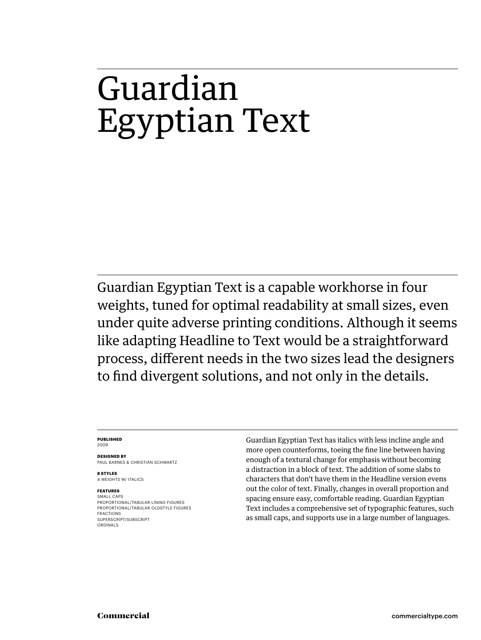# Guardian Egyptian Text

Guardian Egyptian Text is a capable workhorse in four weights, tuned for optimal readability at small sizes, even under quite adverse printing conditions. Although it seems like adapting Headline to Text would be a straightforward process, different needs in the two sizes lead the designers to find divergent solutions, and not only in the details.

#### **PUBLISHED** 2009

**DESIGNED BY** PAUL BARNES & CHRISTIAN SCHWARTZ

**8 STYLES** 4 WEIGHTS W/ ITALICS

# **FEATURES**

SMALL CAPS PROPORTIONAL/TABULAR LINING FIGURES PROPORTIONAL/TABULAR OLDSTYLE FIGURES FRACTIONS SUPERSCRIPT/SUBSCRIPT ORDINALS

Guardian Egyptian Text has italics with less incline angle and more open counterforms, toeing the fine line between having enough of a textural change for emphasis without becoming a distraction in a block of text. The addition of some slabs to characters that don't have them in the Headline version evens out the color of text. Finally, changes in overall proportion and spacing ensure easy, comfortable reading. Guardian Egyptian Text includes a comprehensive set of typographic features, such as small caps, and supports use in a large number of languages.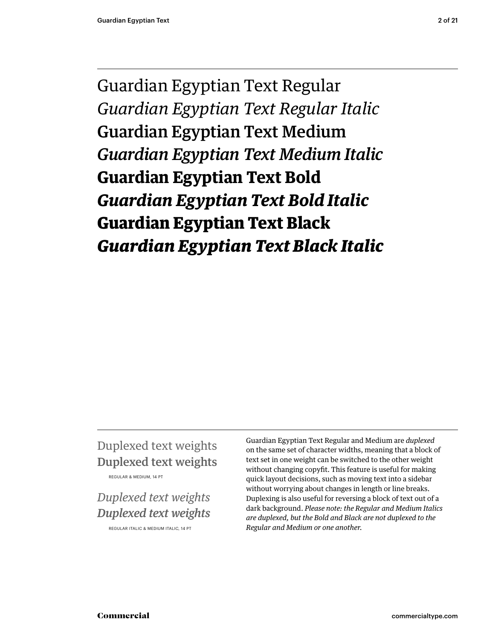Guardian Egyptian Text Regular *Guardian Egyptian Text Regular Italic* Guardian Egyptian Text Medium *Guardian Egyptian Text Medium Italic* **Guardian Egyptian Text Bold** *Guardian Egyptian Text Bold Italic* **Guardian Egyptian Text Black** *Guardian Egyptian Text Black Italic*

# Duplexed text weights Duplexed text weights

REGULAR & MEDIUM, 14 PT

# *Duplexed text weights Duplexed text weights*

REGULAR ITALIC & MEDIUM ITALIC, 14 PT

Guardian Egyptian Text Regular and Medium are *duplexed* on the same set of character widths, meaning that a block of text set in one weight can be switched to the other weight without changing copyfit. This feature is useful for making quick layout decisions, such as moving text into a sidebar without worrying about changes in length or line breaks. Duplexing is also useful for reversing a block of text out of a dark background. *Please note: the Regular and Medium Italics are duplexed, but the Bold and Black are not duplexed to the Regular and Medium or one another.*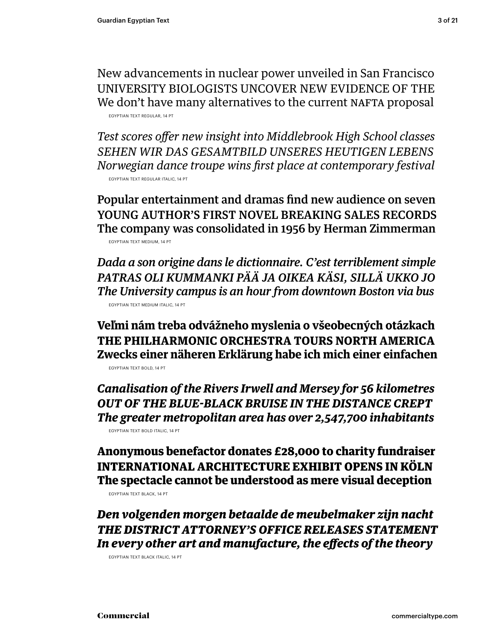New advancements in nuclear power unveiled in San Francisco UNIVERSITY BIOLOGISTS UNCOVER NEW EVIDENCE OF THE We don't have many alternatives to the current NAFTA proposal EGYPTIAN TEXT REGULAR, 14 PT

**Test scores offer new insight into Middlebrook High School classes** *SEHEN WIR DAS GESAMTBILD UNSERES HEUTIGEN LEBENS Norwegian dance troupe wins first place at contemporary festival* EGYPTIAN TEXT REGULAR ITALIC, 14 PT

Popular entertainment and dramas find new audience on seven YOUNG AUTHOR'S FIRST NOVEL BREAKING SALES RECORDS The company was consolidated in 1956 by Herman Zimmerman EGYPTIAN TEXT MEDIUM, 14 PT

*Dada a son origine dans le dictionnaire. C'est terriblement simple PATRAS OLI KUMMANKI PÄÄ JA OIKEA KÄSI, SILLÄ UKKO JO The University campus is an hour from downtown Boston via bus* EGYPTIAN TEXT MEDIUM ITALIC, 14 PT

**Veľmi nám treba odvážneho myslenia o všeobecných otázkach THE PHILHARMONIC ORCHESTRA TOURS NORTH AMERICA Zwecks einer näheren Erklärung habe ich mich einer einfachen** EGYPTIAN TEXT BOLD, 14 PT

*Canalisation of the Rivers Irwell and Mersey for 56 kilometres OUT OF THE BLUE-BLACK BRUISE IN THE DISTANCE CREPT The greater metropolitan area has over 2,547,700 inhabitants* EGYPTIAN TEXT BOLD ITALIC, 14 PT

**Anonymous benefactor donates £28,000 to charity fundraiser INTERNATIONAL ARCHITECTURE EXHIBIT OPENS IN KÖLN The spectacle cannot be understood as mere visual deception**

EGYPTIAN TEXT BLACK, 14 PT

*Den volgenden morgen betaalde de meubelmaker zijn nacht THE DISTRICT ATTORNEY'S OFFICE RELEASES STATEMENT* In every other art and manufacture, the effects of the theory

EGYPTIAN TEXT BLACK ITALIC, 14 PT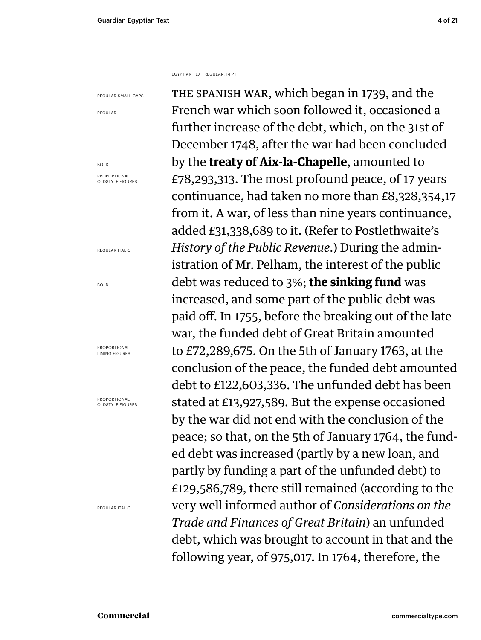EGYPTIAN TEXT REGULAR, 14 PT

REGULAR SMALL CAPS

REGULAR

BOLD PROPORTIONAL OLDSTYLE FIGURES

REGULAR ITALIC

BOLD

PROPORTIONAL LINING FIGURES

PROPORTIONAL OLDSTYLE FIGURES

REGULAR ITALIC

THE SPANISH WAR, which began in 1739, and the French war which soon followed it, occasioned a further increase of the debt, which, on the 31st of December 1748, after the war had been concluded by the **treaty of Aix-la-Chapelle**, amounted to £78,293,313. The most profound peace, of 17 years continuance, had taken no more than £8,328,354,17 from it. A war, of less than nine years continuance, added £31,338,689 to it. (Refer to Postlethwaite's *History of the Public Revenue*.) During the administration of Mr. Pelham, the interest of the public debt was reduced to 3%; **the sinking fund** was increased, and some part of the public debt was paid off. In 1755, before the breaking out of the late war, the funded debt of Great Britain amounted to £72,289,675. On the 5th of January 1763, at the conclusion of the peace, the funded debt amounted debt to £122,603,336. The unfunded debt has been stated at £13,927,589. But the expense occasioned by the war did not end with the conclusion of the peace; so that, on the 5th of January 1764, the funded debt was increased (partly by a new loan, and partly by funding a part of the unfunded debt) to £129,586,789, there still remained (according to the very well informed author of *Considerations on the Trade and Finances of Great Britain*) an unfunded debt, which was brought to account in that and the following year, of 975,017. In 1764, therefore, the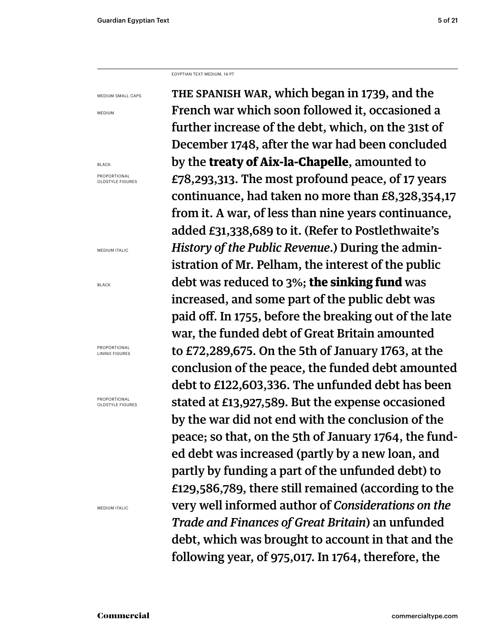EGYPTIAN TEXT MEDIUM, 14 PT

MEDIUM SMALL CAPS

MEDIUM

BLACK PROPORTIONAL OLDSTYLE FIGURES

MEDIUM ITALIC

BLACK

PROPORTIONAL LINING FIGURES

PROPORTIONAL OLDSTYLE FIGURES

MEDIUM ITALIC

THE SPANISH WAR, which began in 1739, and the French war which soon followed it, occasioned a further increase of the debt, which, on the 31st of December 1748, after the war had been concluded by the **treaty of Aix-la-Chapelle**, amounted to £78,293,313. The most profound peace, of 17 years continuance, had taken no more than £8,328,354,17 from it. A war, of less than nine years continuance, added £31,338,689 to it. (Refer to Postlethwaite's *History of the Public Revenue*.) During the administration of Mr. Pelham, the interest of the public debt was reduced to 3%; **the sinking fund** was increased, and some part of the public debt was paid off. In 1755, before the breaking out of the late war, the funded debt of Great Britain amounted to £72,289,675. On the 5th of January 1763, at the conclusion of the peace, the funded debt amounted debt to £122,603,336. The unfunded debt has been stated at £13,927,589. But the expense occasioned by the war did not end with the conclusion of the peace; so that, on the 5th of January 1764, the funded debt was increased (partly by a new loan, and partly by funding a part of the unfunded debt) to £129,586,789, there still remained (according to the very well informed author of *Considerations on the Trade and Finances of Great Britain*) an unfunded debt, which was brought to account in that and the following year, of 975,017. In 1764, therefore, the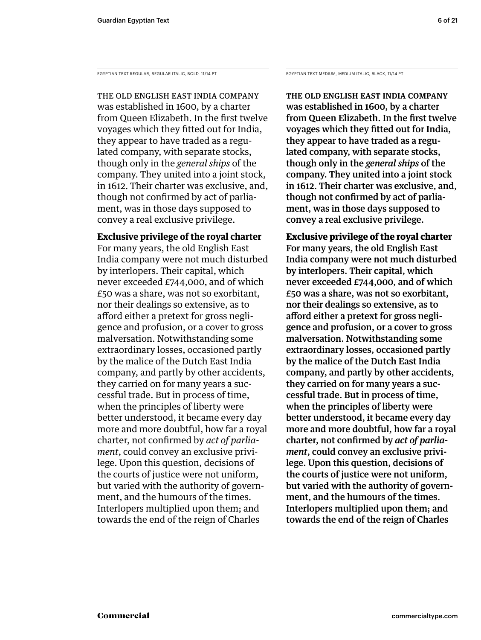EGYPTIAN TEXT REGULAR, REGULAR ITALIC, BOLD, 11/14 PT

THE OLD ENGLISH EAST INDIA COMPANY was established in 1600, by a charter from Queen Elizabeth. In the first twelve voyages which they fitted out for India, they appear to have traded as a regulated company, with separate stocks, though only in the *general ships* of the company. They united into a joint stock, in 1612. Their charter was exclusive, and, though not confirmed by act of parliament, was in those days supposed to convey a real exclusive privilege.

# **Exclusive privilege of the royal charter**

For many years, the old English East India company were not much disturbed by interlopers. Their capital, which never exceeded £744,000, and of which £50 was a share, was not so exorbitant, nor their dealings so extensive, as to afford either a pretext for gross negligence and profusion, or a cover to gross malversation. Notwithstanding some extraordinary losses, occasioned partly by the malice of the Dutch East India company, and partly by other accidents, they carried on for many years a successful trade. But in process of time, when the principles of liberty were better understood, it became every day more and more doubtful, how far a royal charter, not confirmed by *act of parliament*, could convey an exclusive privilege. Upon this question, decisions of the courts of justice were not uniform, but varied with the authority of government, and the humours of the times. Interlopers multiplied upon them; and towards the end of the reign of Charles

EGYPTIAN TEXT MEDIUM, MEDIUM ITALIC, BLACK, 11/14 PT

THE OLD ENGLISH EAST INDIA COMPANY was established in 1600, by a charter from Queen Elizabeth. In the first twelve voyages which they fitted out for India, they appear to have traded as a regulated company, with separate stocks, though only in the *general ships* of the company. They united into a joint stock in 1612. Their charter was exclusive, and, though not confirmed by act of parliament, was in those days supposed to convey a real exclusive privilege.

**Exclusive privilege of the royal charter** For many years, the old English East India company were not much disturbed by interlopers. Their capital, which never exceeded £744,000, and of which £50 was a share, was not so exorbitant, nor their dealings so extensive, as to afford either a pretext for gross negligence and profusion, or a cover to gross malversation. Notwithstanding some extraordinary losses, occasioned partly by the malice of the Dutch East India company, and partly by other accidents, they carried on for many years a successful trade. But in process of time, when the principles of liberty were better understood, it became every day more and more doubtful, how far a royal charter, not confirmed by *act of parliament*, could convey an exclusive privilege. Upon this question, decisions of the courts of justice were not uniform, but varied with the authority of government, and the humours of the times. Interlopers multiplied upon them; and towards the end of the reign of Charles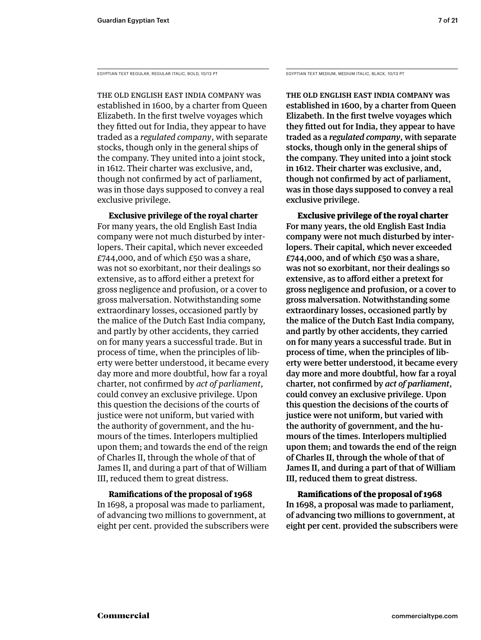EGYPTIAN TEXT REGULAR, REGULAR ITALIC, BOLD, 10/13 PT EGYPTIAN TEXT MEDIUM, MEDIUM ITALIC, BLACK, 10/13 PT

THE OLD ENGLISH EAST INDIA COMPANY was established in 1600, by a charter from Queen Elizabeth. In the first twelve voyages which they fitted out for India, they appear to have traded as a *regulated company*, with separate stocks, though only in the general ships of the company. They united into a joint stock, in 1612. Their charter was exclusive, and, though not confirmed by act of parliament, was in those days supposed to convey a real exclusive privilege.

 **Exclusive privilege of the royal charter** For many years, the old English East India company were not much disturbed by interlopers. Their capital, which never exceeded  $E$ 744,000, and of which  $E$ 50 was a share, was not so exorbitant, nor their dealings so extensive, as to afford either a pretext for gross negligence and profusion, or a cover to gross malversation. Notwithstanding some extraordinary losses, occasioned partly by the malice of the Dutch East India company, and partly by other accidents, they carried on for many years a successful trade. But in process of time, when the principles of liberty were better understood, it became every day more and more doubtful, how far a royal charter, not confi rmed by *act of parliament*, could convey an exclusive privilege. Upon this question the decisions of the courts of justice were not uniform, but varied with the authority of government, and the humours of the times. Interlopers multiplied upon them; and towards the end of the reign of Charles II, through the whole of that of James II, and during a part of that of William III, reduced them to great distress.

**Ramifications of the proposal of 1968** In 1698, a proposal was made to parliament, of advancing two millions to government, at eight per cent. provided the subscribers were

THE OLD ENGLISH EAST INDIA COMPANY was established in 1600, by a charter from Queen Elizabeth. In the first twelve voyages which they fitted out for India, they appear to have traded as a *regulated company*, with separate stocks, though only in the general ships of the company. They united into a joint stock in 1612. Their charter was exclusive, and, though not confirmed by act of parliament, was in those days supposed to convey a real exclusive privilege.

 **Exclusive privilege of the royal charter** For many years, the old English East India company were not much disturbed by interlopers. Their capital, which never exceeded £744,000, and of which  $£50$  was a share, was not so exorbitant, nor their dealings so extensive, as to afford either a pretext for gross negligence and profusion, or a cover to gross malversation. Notwithstanding some extraordinary losses, occasioned partly by the malice of the Dutch East India company, and partly by other accidents, they carried on for many years a successful trade. But in process of time, when the principles of liberty were better understood, it became every day more and more doubtful, how far a royal charter, not confirmed by *act of parliament*, could convey an exclusive privilege. Upon this question the decisions of the courts of justice were not uniform, but varied with the authority of government, and the humours of the times. Interlopers multiplied upon them; and towards the end of the reign of Charles II, through the whole of that of James II, and during a part of that of William III, reduced them to great distress.

**Ramifications of the proposal of 1968** In 1698, a proposal was made to parliament, of advancing two millions to government, at eight per cent. provided the subscribers were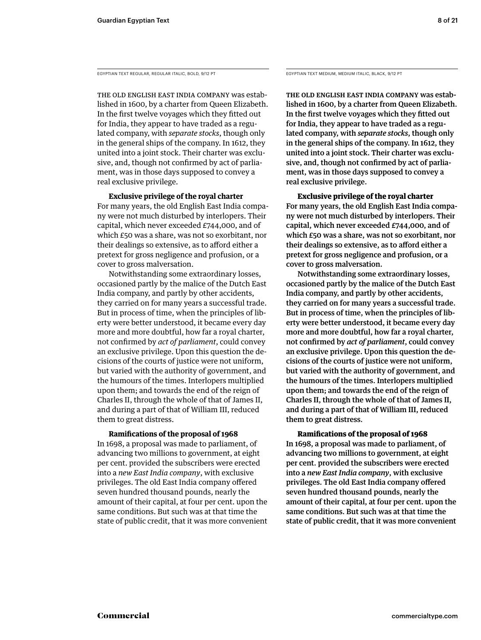EGYPTIAN TEXT REGULAR, REGULAR ITALIC, BOLD, 9/12 PT

THE OLD ENGLISH EAST INDIA COMPANY was established in 1600, by a charter from Queen Elizabeth. In the first twelve voyages which they fitted out for India, they appear to have traded as a regulated company, with *separate stocks*, though only in the general ships of the company. In 1612, they united into a joint stock. Their charter was exclusive, and, though not confirmed by act of parliament, was in those days supposed to convey a real exclusive privilege.

 **Exclusive privilege of the royal charter**

For many years, the old English East India company were not much disturbed by interlopers. Their capital, which never exceeded £744,000, and of which £50 was a share, was not so exorbitant, nor their dealings so extensive, as to afford either a pretext for gross negligence and profusion, or a cover to gross malversation.

 Notwithstanding some extraordinary losses, occasioned partly by the malice of the Dutch East India company, and partly by other accidents, they carried on for many years a successful trade. But in process of time, when the principles of liberty were better understood, it became every day more and more doubtful, how far a royal charter, not confirmed by *act of parliament*, could convey an exclusive privilege. Upon this question the decisions of the courts of justice were not uniform, but varied with the authority of government, and the humours of the times. Interlopers multiplied upon them; and towards the end of the reign of Charles II, through the whole of that of James II, and during a part of that of William III, reduced them to great distress.

# **Ramifications of the proposal of 1968**

In 1698, a proposal was made to parliament, of advancing two millions to government, at eight per cent. provided the subscribers were erected into a *new East India company*, with exclusive privileges. The old East India company offered seven hundred thousand pounds, nearly the amount of their capital, at four per cent. upon the same conditions. But such was at that time the state of public credit, that it was more convenient EGYPTIAN TEXT MEDIUM, MEDIUM ITALIC, BLACK, 9/12 PT

THE OLD ENGLISH EAST INDIA COMPANY was established in 1600, by a charter from Queen Elizabeth. In the first twelve voyages which they fitted out for India, they appear to have traded as a regulated company, with *separate stocks*, though only in the general ships of the company. In 1612, they united into a joint stock. Their charter was exclusive, and, though not confirmed by act of parliament, was in those days supposed to convey a real exclusive privilege.

 **Exclusive privilege of the royal charter**

For many years, the old English East India company were not much disturbed by interlopers. Their capital, which never exceeded £744,000, and of which £50 was a share, was not so exorbitant, nor their dealings so extensive, as to afford either a pretext for gross negligence and profusion, or a cover to gross malversation.

 Notwithstanding some extraordinary losses, occasioned partly by the malice of the Dutch East India company, and partly by other accidents, they carried on for many years a successful trade. But in process of time, when the principles of liberty were better understood, it became every day more and more doubtful, how far a royal charter, not confirmed by *act of parliament*, could convey an exclusive privilege. Upon this question the decisions of the courts of justice were not uniform, but varied with the authority of government, and the humours of the times. Interlopers multiplied upon them; and towards the end of the reign of Charles II, through the whole of that of James II, and during a part of that of William III, reduced them to great distress.

# **Ramifications of the proposal of 1968**

In 1698, a proposal was made to parliament, of advancing two millions to government, at eight per cent. provided the subscribers were erected into a *new East India company*, with exclusive privileges. The old East India company offered seven hundred thousand pounds, nearly the amount of their capital, at four per cent. upon the same conditions. But such was at that time the state of public credit, that it was more convenient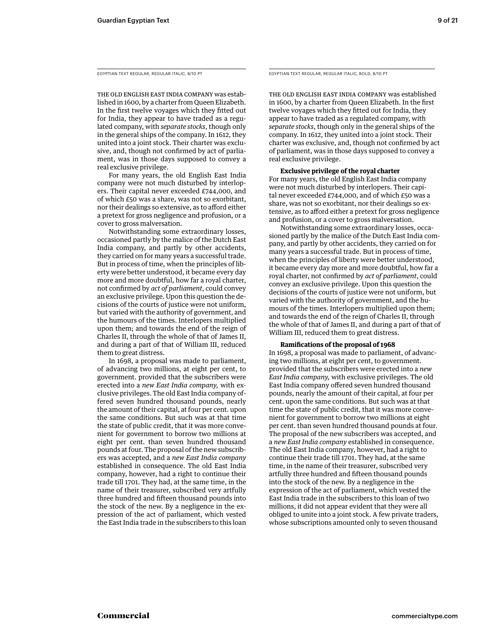EGYPTIAN TEXT REGULAR, REGULAR ITALIC, 8/10 PT

THE OLD ENGLISH EAST INDIA COMPANY was established in 1600, by a charter from Queen Elizabeth. In the first twelve voyages which they fitted out for India, they appear to have traded as a regulated company, with *separate stocks*, though only in the general ships of the company. In 1612, they united into a joint stock. Their charter was exclusive, and, though not confirmed by act of parliament, was in those days supposed to convey a real exclusive privilege.

 For many years, the old English East India company were not much disturbed by interlopers. Their capital never exceeded £744,000, and of which £50 was a share, was not so exorbitant, nor their dealings so extensive, as to afford either a pretext for gross negligence and profusion, or a cover to gross malversation.

 Notwithstanding some extraordinary losses, occasioned partly by the malice of the Dutch East India company, and partly by other accidents, they carried on for many years a successful trade. But in process of time, when the principles of liberty were better understood, it became every day more and more doubtful, how far a royal charter, not confirmed by *act of parliament*, could convey an exclusive privilege. Upon this question the decisions of the courts of justice were not uniform, but varied with the authority of government, and the humours of the times. Interlopers multiplied upon them; and towards the end of the reign of Charles II, through the whole of that of James II, and during a part of that of William III, reduced them to great distress.

 In 1698, a proposal was made to parliament, of advancing two millions, at eight per cent, to government. provided that the subscribers were erected into a *new East India company,* with exclusive privileges. The old East India company offered seven hundred thousand pounds, nearly the amount of their capital, at four per cent. upon the same conditions. But such was at that time the state of public credit, that it was more convenient for government to borrow two millions at eight per cent. than seven hundred thousand pounds at four. The proposal of the new subscribers was accepted, and a *new East India company* established in consequence. The old East India company, however, had a right to continue their trade till 1701. They had, at the same time, in the name of their treasurer, subscribed very artfully three hundred and fifteen thousand pounds into the stock of the new. By a negligence in the expression of the act of parliament, which vested the East India trade in the subscribers to this loan EGYPTIAN TEXT REGULAR, REGULAR ITALIC, BOLD, 8/10 PT

THE OLD ENGLISH EAST INDIA COMPANY was established in 1600, by a charter from Queen Elizabeth. In the first twelve voyages which they fitted out for India, they appear to have traded as a regulated company, with *separate stocks*, though only in the general ships of the company. In 1612, they united into a joint stock. Their charter was exclusive, and, though not confirmed by act of parliament, was in those days supposed to convey a real exclusive privilege.

# **Exclusive privilege of the royal charter**

For many years, the old English East India company were not much disturbed by interlopers. Their capital never exceeded  $E$ 744,000, and of which  $E$ 50 was a share, was not so exorbitant, nor their dealings so extensive, as to afford either a pretext for gross negligence and profusion, or a cover to gross malversation.

 Notwithstanding some extraordinary losses, occasioned partly by the malice of the Dutch East India company, and partly by other accidents, they carried on for many years a successful trade. But in process of time, when the principles of liberty were better understood, it became every day more and more doubtful, how far a royal charter, not confirmed by *act of parliament*, could convey an exclusive privilege. Upon this question the decisions of the courts of justice were not uniform, but varied with the authority of government, and the humours of the times. Interlopers multiplied upon them; and towards the end of the reign of Charles II, through the whole of that of James II, and during a part of that of William III, reduced them to great distress.

# **Ramifications of the proposal of 1968**

In 1698, a proposal was made to parliament, of advancing two millions, at eight per cent, to government. provided that the subscribers were erected into a *new East India company,* with exclusive privileges. The old East India company offered seven hundred thousand pounds, nearly the amount of their capital, at four per cent. upon the same conditions. But such was at that time the state of public credit, that it was more convenient for government to borrow two millions at eight per cent. than seven hundred thousand pounds at four. The proposal of the new subscribers was accepted, and a *new East India company* established in consequence. The old East India company, however, had a right to continue their trade till 1701. They had, at the same time, in the name of their treasurer, subscribed very artfully three hundred and fifteen thousand pounds into the stock of the new. By a negligence in the expression of the act of parliament, which vested the East India trade in the subscribers to this loan of two millions, it did not appear evident that they were all obliged to unite into a joint stock. A few private traders, whose subscriptions amounted only to seven thousand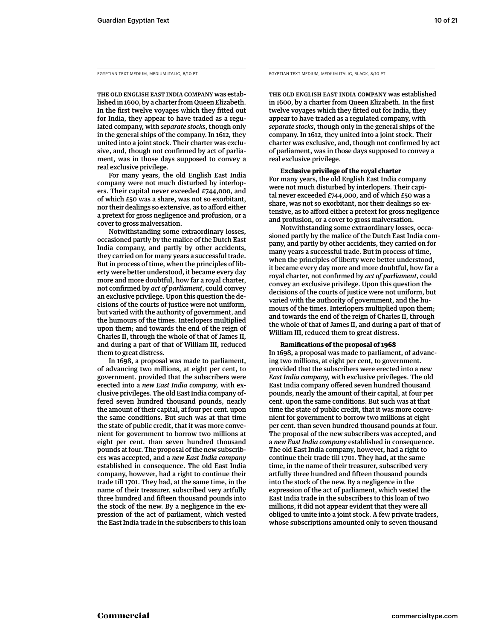EGYPTIAN TEXT MEDIUM, MEDIUM ITALIC, 8/10 PT

THE OLD ENGLISH EAST INDIA COMPANY was established in 1600, by a charter from Queen Elizabeth. In the first twelve voyages which they fitted out for India, they appear to have traded as a regulated company, with *separate stocks*, though only in the general ships of the company. In 1612, they united into a joint stock. Their charter was exclusive, and, though not confirmed by act of parliament, was in those days supposed to convey a real exclusive privilege.

 For many years, the old English East India company were not much disturbed by interlopers. Their capital never exceeded £744,000, and of which £50 was a share, was not so exorbitant, nor their dealings so extensive, as to afford either a pretext for gross negligence and profusion, or a cover to gross malversation.

 Notwithstanding some extraordinary losses, occasioned partly by the malice of the Dutch East India company, and partly by other accidents, they carried on for many years a successful trade. But in process of time, when the principles of liberty were better understood, it became every day more and more doubtful, how far a royal charter, not confirmed by *act of parliament*, could convey an exclusive privilege. Upon this question the decisions of the courts of justice were not uniform, but varied with the authority of government, and the humours of the times. Interlopers multiplied upon them; and towards the end of the reign of Charles II, through the whole of that of James II, and during a part of that of William III, reduced them to great distress.

 In 1698, a proposal was made to parliament, of advancing two millions, at eight per cent, to government. provided that the subscribers were erected into a *new East India company,* with exclusive privileges. The old East India company offered seven hundred thousand pounds, nearly the amount of their capital, at four per cent. upon the same conditions. But such was at that time the state of public credit, that it was more convenient for government to borrow two millions at eight per cent. than seven hundred thousand pounds at four. The proposal of the new subscribers was accepted, and a *new East India company* established in consequence. The old East India company, however, had a right to continue their trade till 1701. They had, at the same time, in the name of their treasurer, subscribed very artfully three hundred and fifteen thousand pounds into the stock of the new. By a negligence in the expression of the act of parliament, which vested the East India trade in the subscribers to this loan EGYPTIAN TEXT MEDIUM, MEDIUM ITALIC, BLACK, 8/10 PT

THE OLD ENGLISH EAST INDIA COMPANY was established in 1600, by a charter from Queen Elizabeth. In the first twelve voyages which they fitted out for India, they appear to have traded as a regulated company, with *separate stocks*, though only in the general ships of the company. In 1612, they united into a joint stock. Their charter was exclusive, and, though not confirmed by act of parliament, was in those days supposed to convey a real exclusive privilege.

# **Exclusive privilege of the royal charter**

For many years, the old English East India company were not much disturbed by interlopers. Their capital never exceeded  $E$ 744,000, and of which  $E$ 50 was a share, was not so exorbitant, nor their dealings so extensive, as to afford either a pretext for gross negligence and profusion, or a cover to gross malversation.

 Notwithstanding some extraordinary losses, occasioned partly by the malice of the Dutch East India company, and partly by other accidents, they carried on for many years a successful trade. But in process of time, when the principles of liberty were better understood, it became every day more and more doubtful, how far a royal charter, not confirmed by *act of parliament*, could convey an exclusive privilege. Upon this question the decisions of the courts of justice were not uniform, but varied with the authority of government, and the humours of the times. Interlopers multiplied upon them; and towards the end of the reign of Charles II, through the whole of that of James II, and during a part of that of William III, reduced them to great distress.

# **Ramifi cations of the proposal of 1968**

In 1698, a proposal was made to parliament, of advancing two millions, at eight per cent, to government. provided that the subscribers were erected into a *new East India company,* with exclusive privileges. The old East India company offered seven hundred thousand pounds, nearly the amount of their capital, at four per cent. upon the same conditions. But such was at that time the state of public credit, that it was more convenient for government to borrow two millions at eight per cent. than seven hundred thousand pounds at four. The proposal of the new subscribers was accepted, and a *new East India company* established in consequence. The old East India company, however, had a right to continue their trade till 1701. They had, at the same time, in the name of their treasurer, subscribed very artfully three hundred and fifteen thousand pounds into the stock of the new. By a negligence in the expression of the act of parliament, which vested the East India trade in the subscribers to this loan of two millions, it did not appear evident that they were all obliged to unite into a joint stock. A few private traders, whose subscriptions amounted only to seven thousand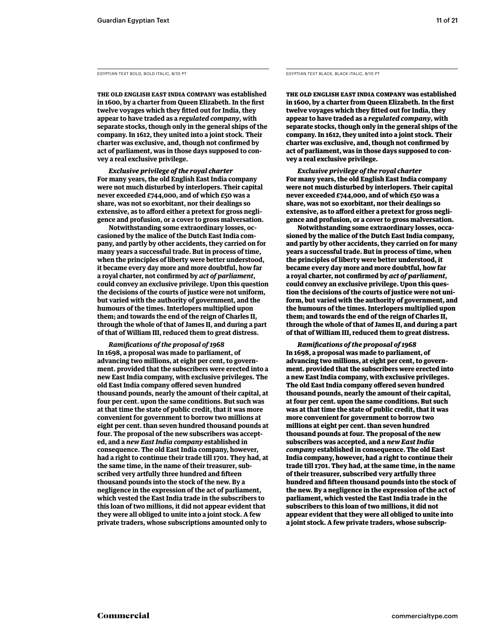EGYPTIAN TEXT BOLD, BOLD ITALIC, 8/10 PT

**THE OLD ENGLISH EAST INDIA COMPANY was established**  in 1600, by a charter from Queen Elizabeth. In the first twelve voyages which they fitted out for India, they **appear to have traded as a** *regulated company***, with separate stocks, though only in the general ships of the company. In 1612, they united into a joint stock. Their**  charter was exclusive, and, though not confirmed by **act of parliament, was in those days supposed to convey a real exclusive privilege.** 

 *Exclusive privilege of the royal charter* **For many years, the old English East India company were not much disturbed by interlopers. Their capital never exceeded £744,000, and of which £50 was a share, was not so exorbitant, nor their dealings so**  extensive, as to afford either a pretext for gross negli**gence and profusion, or a cover to gross malversation.** 

 **Notwithstanding some extraordinary losses, occasioned by the malice of the Dutch East India company, and partly by other accidents, they carried on for many years a successful trade. But in process of time, when the principles of liberty were better understood, it became every day more and more doubtful, how far a royal charter, not confi rmed by** *act of parliament***, could convey an exclusive privilege. Upon this question the decisions of the courts of justice were not uniform, but varied with the authority of government, and the humours of the times. Interlopers multiplied upon them; and towards the end of the reign of Charles II, through the whole of that of James II, and during a part of that of William III, reduced them to great distress.** 

 *Ramifi cations of the proposal of 1968* **In 1698, a proposal was made to parliament, of advancing two millions, at eight per cent, to government. provided that the subscribers were erected into a new East India company, with exclusive privileges. The old East India company offered seven hundred thousand pounds, nearly the amount of their capital, at four per cent. upon the same conditions. But such was at that time the state of public credit, that it was more convenient for government to borrow two millions at eight per cent. than seven hundred thousand pounds at four. The proposal of the new subscribers was accepted, and a** *new East India company* **established in consequence. The old East India company, however, had a right to continue their trade till 1701. They had, at the same time, in the name of their treasurer, sub**scribed very artfully three hundred and fifteen **thousand pounds into the stock of the new. By a negligence in the expression of the act of parliament, which vested the East India trade in the subscribers to this loan of two millions, it did not appear evident that they were all obliged to unite into a joint stock. A few private traders, whose subscriptions amounted only to** 

EGYPTIAN TEXT BLACK, BLACK ITALIC, 8/10 PT

**THE OLD ENGLISH EAST INDIA COMPANY was established**  in 1600, by a charter from Queen Elizabeth. In the first twelve voyages which they fitted out for India, they **appear to have traded as a** *regulated company***, with separate stocks, though only in the general ships of the company. In 1612, they united into a joint stock. Their**  charter was exclusive, and, though not confirmed by **act of parliament, was in those days supposed to convey a real exclusive privilege.** 

 *Exclusive privilege of the royal charter* **For many years, the old English East India company were not much disturbed by interlopers. Their capital never exceeded £744,000, and of which £50 was a share, was not so exorbitant, nor their dealings so**  extensive, as to afford either a pretext for gross negli**gence and profusion, or a cover to gross malversation.** 

 **Notwithstanding some extraordinary losses, occasioned by the malice of the Dutch East India company, and partly by other accidents, they carried on for many years a successful trade. But in process of time, when the principles of liberty were better understood, it became every day more and more doubtful, how far a royal charter, not confi rmed by** *act of parliament***, could convey an exclusive privilege. Upon this question the decisions of the courts of justice were not uniform, but varied with the authority of government, and the humours of the times. Interlopers multiplied upon them; and towards the end of the reign of Charles II, through the whole of that of James II, and during a part of that of William III, reduced them to great distress.** 

 *Ramifi cations of the proposal of 1968* **In 1698, a proposal was made to parliament, of advancing two millions, at eight per cent, to government. provided that the subscribers were erected into a new East India company, with exclusive privileges. The old East India company offered seven hundred thousand pounds, nearly the amount of their capital, at four per cent. upon the same conditions. But such was at that time the state of public credit, that it was more convenient for government to borrow two millions at eight per cent. than seven hundred thousand pounds at four. The proposal of the new subscribers was accepted, and a** *new East India company* **established in consequence. The old East India company, however, had a right to continue their trade till 1701. They had, at the same time, in the name of their treasurer, subscribed very artfully three**  hundred and fifteen thousand pounds into the stock of **the new. By a negligence in the expression of the act of parliament, which vested the East India trade in the subscribers to this loan of two millions, it did not appear evident that they were all obliged to unite into a joint stock. A few private traders, whose subscrip-**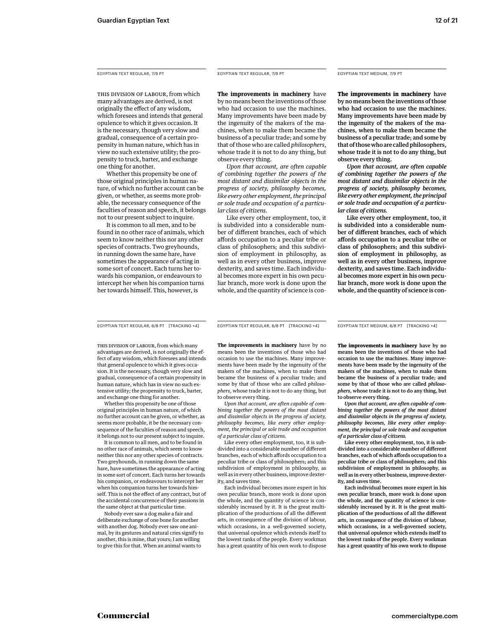THIS DIVISION OF LABOUR, from which many advantages are derived, is not originally the effect of any wisdom, which foresees and intends that general opulence to which it gives occasion. It is the necessary, though very slow and gradual, consequence of a certain propensity in human nature, which has in view no such extensive utility; the propensity to truck, barter, and exchange one thing for another.

 Whether this propensity be one of those original principles in human nature, of which no further account can be given, or whether, as seems more probable, the necessary consequence of the faculties of reason and speech, it belongs not to our present subject to inquire.

 It is common to all men, and to be found in no other race of animals, which seem to know neither this nor any other species of contracts. Two greyhounds, in running down the same hare, have sometimes the appearance of acting in some sort of concert. Each turns her towards his companion, or endeavours to intercept her when his companion turns her towards himself. This, however, is

# EGYPTIAN TEXT REGULAR, 7/9 PT EGYPTIAN TEXT REGULAR, 7/9 PT

**The improvements in machinery** have by no means been the inventions of those who had occasion to use the machines. Many improvements have been made by the ingenuity of the makers of the machines, when to make them became the business of a peculiar trade; and some by that of those who are called *philosophers*,

whose trade it is not to do any thing, but

observe every thing.  *Upon that account, are often capable of combining together the powers of the most distant and dissimilar objects in the progress of society, philosophy becomes, like every other employment, the principal or sole trade and occupation of a particular class of citizens.* 

 Like every other employment, too, it is subdivided into a considerable number of different branches, each of which affords occupation to a peculiar tribe or class of philosophers; and this subdivision of employment in philosophy, as well as in every other business, improve dexterity, and saves time. Each individual becomes more expert in his own peculiar branch, more work is done upon the whole, and the quantity of science is conEGYPTIAN TEXT MEDIUM, 7/9 PT

**The improvements in machinery** have by no means been the inventions of those who had occasion to use the machines. Many improvements have been made by the ingenuity of the makers of the machines, when to make them became the business of a peculiar trade; and some by that of those who are called philosophers, whose trade it is not to do any thing, but observe every thing.

 *Upon that account, are often capable of combining together the powers of the most distant and dissimilar objects in the progress of society, philosophy becomes, like every other employment, the principal or sole trade and occupation of a particular class of citizens.* 

 Like every other employment, too, it is subdivided into a considerable number of different branches, each of which affords occupation to a peculiar tribe or class of philosophers; and this subdivision of employment in philosophy, as well as in every other business, improve dexterity, and saves time. Each individual becomes more expert in his own peculiar branch, more work is done upon the whole, and the quantity of science is con-

EGYPTIAN TEXT REGULAR, 6/8 PT [TRACKING +4] EGYPTIAN TEXT REGULAR, 6/8 PT [TRACKING +4]

THIS DIVISION OF LABOUR, from which many advantages are derived, is not originally the effect of any wisdom, which foresees and intends that general opulence to which it gives occasion. It is the necessary, though very slow and gradual, consequence of a certain propensity in human nature, which has in view no such extensive utility; the propensity to truck, barter, and exchange one thing for another.

 Whether this propensity be one of those original principles in human nature, of which no further account can be given, or whether, as seems more probable, it be the necessary consequence of the faculties of reason and speech, it belongs not to our present subject to inquire.

 It is common to all men, and to be found in no other race of animals, which seem to know neither this nor any other species of contracts. Two greyhounds, in running down the same hare, have sometimes the appearance of acting in some sort of concert. Each turns her towards his companion, or endeavours to intercept her when his companion turns her towards himself. This is not the effect of any contract, but of the accidental concurrence of their passions in the same object at that particular time.

 Nobody ever saw a dog make a fair and deliberate exchange of one bone for another with another dog. Nobody ever saw one animal, by its gestures and natural cries signify to another, this is mine, that yours; I am willing to give this for that. When an animal wants to

**The improvements in machinery** have by no means been the inventions of those who had occasion to use the machines. Many improvements have been made by the ingenuity of the makers of the machines, when to make them became the business of a peculiar trade; and some by that of those who are called *philosophers*, whose trade it is not to do any thing, but to observe every thing.

 *Upon that account, are often capable of combining together the powers of the most distant and dissimilar objects in the progress of society, philosophy becomes, like every other employment, the principal or sole trade and occupation of a particular class of citizens.* 

 Like every other employment, too, it is subdivided into a considerable number of different branches, each of which affords occupation to a peculiar tribe or class of philosophers; and this subdivision of employment in philosophy, as well as in every other business, improve dexterity, and saves time.

 Each individual becomes more expert in his own peculiar branch, more work is done upon the whole, and the quantity of science is considerably increased by it. It is the great multiplication of the productions of all the different arts, in consequence of the division of labour, which occasions, in a well-governed society, that universal opulence which extends itself to the lowest ranks of the people. Every workman has a great quantity of his own work to dispose

EGYPTIAN TEXT MEDIUM, 6/8 PT [TRACKING +4]

**The improvements in machinery** have by no means been the inventions of those who had occasion to use the machines. Many improvements have been made by the ingenuity of the makers of the machines, when to make them became the business of a peculiar trade; and some by that of those who are called *philosophers*, whose trade it is not to do any thing, but to observe every thing.

 *Upon that account, are often capable of combining together the powers of the most distant and dissimilar objects in the progress of society, philosophy becomes, like every other employment, the principal or sole trade and occupation of a particular class of citizens.* 

 Like every other employment, too, it is subdivided into a considerable number of different branches, each of which affords occupation to a peculiar tribe or class of philosophers; and this subdivision of employment in philosophy, as well as in every other business, improve dexterity, and saves time.

 Each individual becomes more expert in his own peculiar branch, more work is done upon the whole, and the quantity of science is considerably increased by it. It is the great multiplication of the productions of all the different arts, in consequence of the division of labour, which occasions, in a well-governed society, that universal opulence which extends itself to the lowest ranks of the people. Every workman has a great quantity of his own work to dispose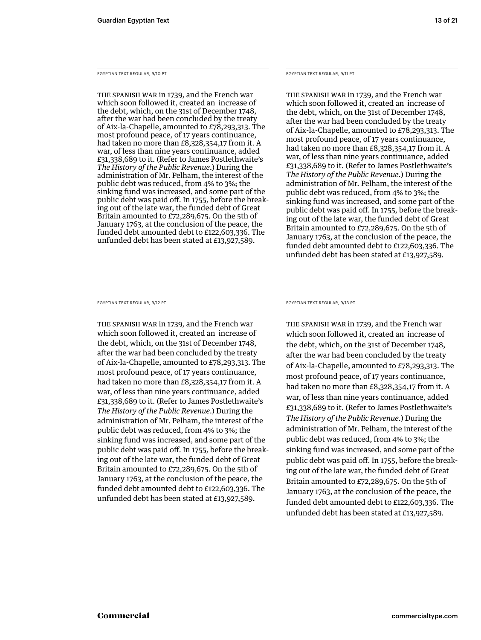EGYPTIAN TEXT REGULAR, 9/10 PT

THE SPANISH WAR in 1739, and the French war which soon followed it, created an increase of the debt, which, on the 31st of December 1748, after the war had been concluded by the treaty of Aix-la-Chapelle, amounted to £78,293,313. The most profound peace, of 17 years continuance, had taken no more than £8,328,354,17 from it. A war, of less than nine years continuance, added £31,338,689 to it. (Refer to James Postlethwaite's *The History of the Public Revenue*.) During the administration of Mr. Pelham, the interest of the public debt was reduced, from 4% to 3%; the sinking fund was increased, and some part of the public debt was paid off. In 1755, before the breaking out of the late war, the funded debt of Great Britain amounted to £72,289,675. On the 5th of January 1763, at the conclusion of the peace, the funded debt amounted debt to £122,603,336. The unfunded debt has been stated at £13,927,589.

EGYPTIAN TEXT REGULAR, 9/11 PT

THE SPANISH WAR in 1739, and the French war which soon followed it, created an increase of the debt, which, on the 31st of December 1748, after the war had been concluded by the treaty of Aix-la-Chapelle, amounted to £78,293,313. The most profound peace, of 17 years continuance, had taken no more than £8,328,354,17 from it. A war, of less than nine years continuance, added £31,338,689 to it. (Refer to James Postlethwaite's *The History of the Public Revenue*.) During the administration of Mr. Pelham, the interest of the public debt was reduced, from 4% to 3%; the sinking fund was increased, and some part of the public debt was paid off. In 1755, before the breaking out of the late war, the funded debt of Great Britain amounted to £72,289,675. On the 5th of January 1763, at the conclusion of the peace, the funded debt amounted debt to £122,603,336. The unfunded debt has been stated at £13,927,589.

EGYPTIAN TEXT REGULAR, 9/12 PT

THE SPANISH WAR in 1739, and the French war which soon followed it, created an increase of the debt, which, on the 31st of December 1748, after the war had been concluded by the treaty of Aix-la-Chapelle, amounted to £78,293,313. The most profound peace, of 17 years continuance, had taken no more than £8,328,354,17 from it. A war, of less than nine years continuance, added £31,338,689 to it. (Refer to James Postlethwaite's *The History of the Public Revenue*.) During the administration of Mr. Pelham, the interest of the public debt was reduced, from 4% to 3%; the sinking fund was increased, and some part of the public debt was paid off. In 1755, before the breaking out of the late war, the funded debt of Great Britain amounted to £72,289,675. On the 5th of January 1763, at the conclusion of the peace, the funded debt amounted debt to £122,603,336. The unfunded debt has been stated at £13,927,589.

EGYPTIAN TEXT REGULAR, 9/13 PT

THE SPANISH WAR in 1739, and the French war which soon followed it, created an increase of the debt, which, on the 31st of December 1748, after the war had been concluded by the treaty of Aix-la-Chapelle, amounted to £78,293,313. The most profound peace, of 17 years continuance, had taken no more than £8,328,354,17 from it. A war, of less than nine years continuance, added £31,338,689 to it. (Refer to James Postlethwaite's *The History of the Public Revenue*.) During the administration of Mr. Pelham, the interest of the public debt was reduced, from 4% to 3%; the sinking fund was increased, and some part of the public debt was paid off. In 1755, before the breaking out of the late war, the funded debt of Great Britain amounted to £72,289,675. On the 5th of January 1763, at the conclusion of the peace, the funded debt amounted debt to £122,603,336. The unfunded debt has been stated at £13,927,589.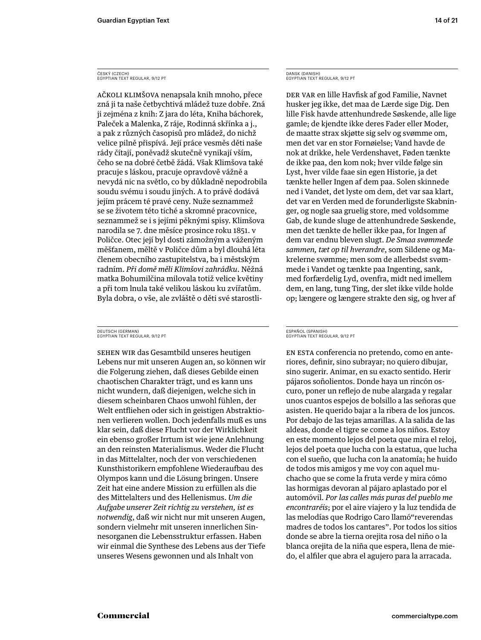AČKOLI KLIMŠOVA nenapsala knih mnoho, přece zná ji ta naše četbychtivá mládež tuze dobře. Zná ji zejména z knih: Z jara do léta, Kniha báchorek, Paleček a Malenka, Z ráje, Rodinná skřínka a j., a pak z různých časopisů pro mládež, do nichž velice pilně přispívá. Její práce vesměs děti naše rády čítají, poněvadž skutečně vynikají vším, čeho se na dobré četbě žádá. Však Klimšova také pracuje s láskou, pracuje opravdově vážně a nevydá nic na světlo, co by důkladně nepodrobila soudu svému i soudu jiných. A to právě dodává jejím prácem té pravé ceny. Nuže seznammež se se životem této tiché a skromné pracovnice, seznammež se i s jejími pěknými spisy. Klimšova narodila se 7. dne měsíce prosince roku 1851. v Poličce. Otec její byl dosti zámožným a váženým měšťanem, měltě v Poličce dům a byl dlouhá léta členem obecního zastupitelstva, ba i městským radním. *Při domě měli Klimšovi zahrádku*. Něžná matka Bohumilčina milovala totiž velice květiny a při tom lnula také velikou láskou ku zvířatům. Byla dobra, o vše, ale zvláště o děti své starostli-

#### DEUTSCH (GERMAN) EGYPTIAN TEXT REGULAR, 9/12 PT

SEHEN WIR das Gesamtbild unseres heutigen Lebens nur mit unseren Augen an, so können wir die Folgerung ziehen, daß dieses Gebilde einen chaotischen Charakter trägt, und es kann uns nicht wundern, daß diejenigen, welche sich in diesem scheinbaren Chaos unwohl fühlen, der Welt entfliehen oder sich in geistigen Abstraktionen verlieren wollen. Doch jedenfalls muß es uns klar sein, daß diese Flucht vor der Wirklichkeit ein ebenso großer Irrtum ist wie jene Anlehnung an den reinsten Materialismus. Weder die Flucht in das Mittelalter, noch der von verschiedenen Kunsthistorikern empfohlene Wiederaufbau des Olympos kann und die Lösung bringen. Unsere Zeit hat eine andere Mission zu erfüllen als die des Mittelalters und des Hellenismus. *Um die Aufgabe unserer Zeit richtig zu verstehen, ist es notwendig*, daß wir nicht nur mit unseren Augen, sondern vielmehr mit unseren innerlichen Sinnesorganen die Lebensstruktur erfassen. Haben wir einmal die Synthese des Lebens aus der Tiefe unseres Wesens gewonnen und als Inhalt von

DANSK (DANISH) EGYPTIAN TEXT REGULAR, 9/12 PT

DER VAR en lille Havfisk af god Familie, Navnet husker jeg ikke, det maa de Lærde sige Dig. Den lille Fisk havde attenhundrede Søskende, alle lige gamle; de kjendte ikke deres Fader eller Moder, de maatte strax skjøtte sig selv og svømme om, men det var en stor Fornøielse; Vand havde de nok at drikke, hele Verdenshavet, Føden tænkte de ikke paa, den kom nok; hver vilde følge sin Lyst, hver vilde faae sin egen Historie, ja det tænkte heller Ingen af dem paa. Solen skinnede ned i Vandet, det lyste om dem, det var saa klart, det var en Verden med de forunderligste Skabninger, og nogle saa gruelig store, med voldsomme Gab, de kunde sluge de attenhundrede Søskende, men det tænkte de heller ikke paa, for Ingen af dem var endnu bleven slugt. *De Smaa svømmede sammen, tæt op til hverandre*, som Sildene og Makrelerne svømme; men som de allerbedst svømmede i Vandet og tænkte paa Ingenting, sank, med forfærdelig Lyd, ovenfra, midt ned imellem dem, en lang, tung Ting, der slet ikke vilde holde op; længere og længere strakte den sig, og hver af

#### ESPAÑOL (SPANISH) EGYPTIAN TEXT REGULAR, 9/12 PT

EN ESTA conferencia no pretendo, como en anteriores, definir, sino subrayar; no quiero dibujar, sino sugerir. Animar, en su exacto sentido. Herir pájaros soñolientos. Donde haya un rincón oscuro, poner un reflejo de nube alargada y regalar unos cuantos espejos de bolsillo a las señoras que asisten. He querido bajar a la ribera de los juncos. Por debajo de las tejas amarillas. A la salida de las aldeas, donde el tigre se come a los niños. Estoy en este momento lejos del poeta que mira el reloj, lejos del poeta que lucha con la estatua, que lucha con el sueño, que lucha con la anatomía; he huido de todos mis amigos y me voy con aquel muchacho que se come la fruta verde y mira cómo las hormigas devoran al pájaro aplastado por el automóvil. *Por las calles más puras del pueblo me encontraréis*; por el aire viajero y la luz tendida de las melodías que Rodrigo Caro llamó"reverendas madres de todos los cantares". Por todos los sitios donde se abre la tierna orejita rosa del niño o la blanca orejita de la niña que espera, llena de miedo, el alfiler que abra el agujero para la arracada.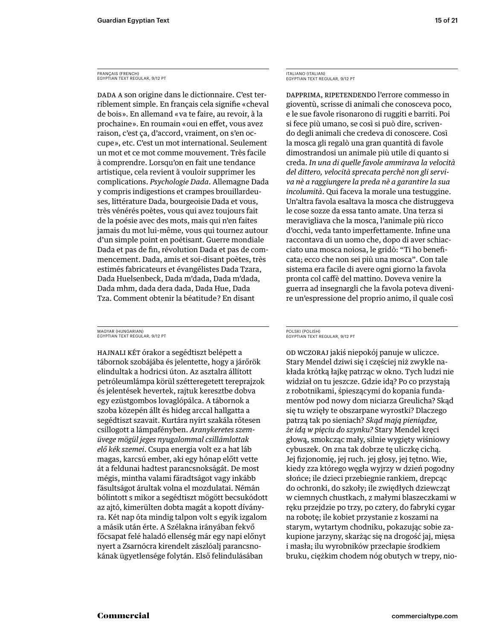DADA A son origine dans le dictionnaire. C'est terriblement simple. En français cela signifie « cheval de bois ». En allemand « va te faire, au revoir, à la prochaine». En roumain «oui en effet, vous avez raison, c'est ça, d'accord, vraiment, on s'en occupe », etc. C'est un mot international. Seulement un mot et ce mot comme mouvement. Très facile à comprendre. Lorsqu'on en fait une tendance artistique, cela revient à vouloir supprimer les complications. *Psychologie Dada*. Allemagne Dada y compris indigestions et crampes brouillardeuses, littérature Dada, bourgeoisie Dada et vous, très vénérés poètes, vous qui avez toujours fait de la poésie avec des mots, mais qui n'en faites jamais du mot lui-même, vous qui tournez autour d'un simple point en poétisant. Guerre mondiale Dada et pas de fin, révolution Dada et pas de commencement. Dada, amis et soi-disant poètes, très estimés fabricateurs et évangélistes Dada Tzara, Dada Huelsenbeck, Dada m'dada, Dada m'dada, Dada mhm, dada dera dada, Dada Hue, Dada Tza. Comment obtenir la béatitude ? En disant

MAGYAR (HUNGARIAN) EGYPTIAN TEXT REGULAR, 9/12 PT

HAJNALI KÉT órakor a segédtiszt belépett a tábornok szobájába és jelentette, hogy a járőrök elindultak a hodricsi úton. Az asztalra állított petróleumlámpa körül szétteregetett tereprajzok és jelentések hevertek, rajtuk keresztbe dobva egy ezüstgombos lovaglópálca. A tábornok a szoba közepén állt és hideg arccal hallgatta a segédtiszt szavait. Kurtára nyírt szakála rőtesen csillogott a lámpafényben. *Aranykeretes szemüvege mögül jeges nyugalommal csillámlottak elő kék szemei*. Csupa energia volt ez a hat láb magas, karcsú ember, aki egy hónap előtt vette át a feldunai hadtest parancsnokságát. De most mégis, mintha valami fáradtságot vagy inkább fásultságot árultak volna el mozdulatai. Némán bólintott s mikor a segédtiszt mögött becsukódott az ajtó, kimerülten dobta magát a kopott díványra. Két nap óta mindig talpon volt s egyik izgalom a másik után érte. A Szélakna irányában fekvő főcsapat felé haladó ellenség már egy napi előnyt nyert a Zsarnócra kirendelt zászlóalj parancsnokának ügyetlensége folytán. Első felindulásában

ITALIANO (ITALIAN) EGYPTIAN TEXT REGULAR, 9/12 PT

DAPPRIMA, RIPETENDENDO l'errore commesso in gioventù, scrisse di animali che conosceva poco, e le sue favole risonarono di ruggiti e barriti. Poi si fece più umano, se così si può dire, scrivendo degli animali che credeva di conoscere. Così la mosca gli regalò una gran quantità di favole dimostrandosi un animale più utile di quanto si creda. *In una di quelle favole ammirava la velocità del dittero, velocità sprecata perchè non gli serviva nè a ragg iungere la preda nè a garantire la sua incolumità*. Qui faceva la morale una testuggine. Un'altra favola esaltava la mosca che distruggeva le cose sozze da essa tanto amate. Una terza si meravigliava che la mosca, l'animale più ricco d'occhi, veda tanto imperfettamente. Infine una raccontava di un uomo che, dopo di aver schiacciato una mosca noiosa, le gridò: "Ti ho benefi cata; ecco che non sei più una mosca". Con tale sistema era facile di avere ogni giorno la favola pronta col caffè del mattino. Doveva venire la guerra ad insegnargli che la favola poteva divenire un'espressione del proprio animo, il quale così

#### POLSKI (POLISH) EGYPTIAN TEXT REGULAR, 9/12 PT

OD WCZORAJ jakiś niepokój panuje w uliczce. Stary Mendel dziwi się i częściej niż zwykle nakłada krótką łajkę patrząc w okno. Tych ludzi nie widział on tu jeszcze. Gdzie idą? Po co przystają z robotnikami, śpieszącymi do kopania fundamentów pod nowy dom niciarza Greulicha? Skąd się tu wzięły te obszarpane wyrostki? Dlaczego patrzą tak po sieniach? *Skąd mają pieniądze, że idą w pięciu do szynku?* Stary Mendel kręci głową, smokcząc mały, silnie wygięty wiśniowy cybuszek. On zna tak dobrze tę uliczkę cichą. Jej fizjonomię, jej ruch. jej głosy, jej tętno. Wie, kiedy zza którego węgła wyjrzy w dzień pogodny słońce; ile dzieci przebiegnie rankiem, drepcąc do ochronki, do szkoły; ile zwiędłych dziewcząt w ciemnych chustkach, z małymi blaszeczkami w ręku przejdzie po trzy, po cztery, do fabryki cygar na robotę; ile kobiet przystanie z koszami na starym, wytartym chodniku, pokazując sobie zakupione jarzyny, skarżąc się na drogość jaj, mięsa i masła; ilu wyrobników przecłapie środkiem bruku, ciężkim chodem nóg obutych w trepy, nio-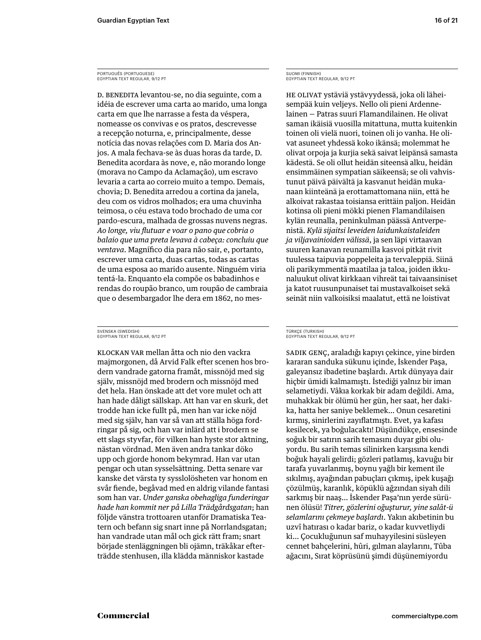# PORTUGUÊS (PORTUGUESE) EGYPTIAN TEXT REGULAR, 9/12 PT

D. BENEDITA levantou-se, no dia seguinte, com a idéia de escrever uma carta ao marido, uma longa carta em que lhe narrasse a festa da véspera, nomeasse os convivas e os pratos, descrevesse a recepção noturna, e, principalmente, desse notícia das novas relações com D. Maria dos Anjos. A mala fechava-se às duas horas da tarde, D. Benedita acordara às nove, e, não morando longe (morava no Campo da Aclamação), um escravo levaria a carta ao correio muito a tempo. Demais, chovia; D. Benedita arredou a cortina da janela, deu com os vidros molhados; era uma chuvinha teimosa, o céu estava todo brochado de uma cor pardo-escura, malhada de grossas nuvens negras. *Ao longe, viu fl utuar e voar o pano que cobria o balaio que uma preta levava à cabeça: concluiu que ventava*. Magnífico dia para não sair, e, portanto, escrever uma carta, duas cartas, todas as cartas de uma esposa ao marido ausente. Ninguém viria tentá-la. Enquanto ela compõe os babadinhos e rendas do roupão branco, um roupão de cambraia que o desembargador lhe dera em 1862, no mes-

#### SVENSKA (SWEDISH) EGYPTIAN TEXT REGULAR, 9/12 PT

KLOCKAN VAR mellan åtta och nio den vackra majmorgonen, då Arvid Falk efter scenen hos brodern vandrade gatorna framåt, missnöjd med sig själv, missnöjd med brodern och missnöjd med det hela. Han önskade att det vore mulet och att han hade dåligt sällskap. Att han var en skurk, det trodde han icke fullt på, men han var icke nöjd med sig själv, han var så van att ställa höga fordringar på sig, och han var inlärd att i brodern se ett slags styvfar, för vilken han hyste stor aktning, nästan vördnad. Men även andra tankar döko upp och gjorde honom bekymrad. Han var utan pengar och utan sysselsättning. Detta senare var kanske det värsta ty sysslolösheten var honom en svår fiende, begåvad med en aldrig vilande fantasi som han var. *Under ganska obehagliga funderingar hade han kommit ner på Lilla Trädgårdsgatan*; han följde vänstra trottoaren utanför Dramatiska Teatern och befann sig snart inne på Norrlandsgatan; han vandrade utan mål och gick rätt fram; snart började stenläggningen bli ojämn, träkåkar efterträdde stenhusen, illa klädda människor kastade

# SUOMI (FINNISH) EGYPTIAN TEXT REGULAR, 9/12 PT

HE OLIVAT ystäviä ystävyydessä, joka oli läheisempää kuin veljeys. Nello oli pieni Ardennelainen — Patras suuri Flamandilainen. He olivat saman ikäisiä vuosilla mitattuna, mutta kuitenkin toinen oli vielä nuori, toinen oli jo vanha. He olivat asuneet yhdessä koko ikänsä; molemmat he olivat orpoja ja kurjia sekä saivat leipänsä samasta kädestä. Se oli ollut heidän siteensä alku, heidän ensimmäinen sympatian säikeensä; se oli vahvistunut päivä päivältä ja kasvanut heidän mukanaan kiinteänä ja erottamattomana niin, että he alkoivat rakastaa toisiansa erittäin paljon. Heidän kotinsa oli pieni mökki pienen Flamandilaisen kylän reunalla, peninkulman päässä Antverpenistä. *Kylä sijaitsi leveiden laidunkaistaleiden ja viljavainioiden välissä*, ja sen läpi virtaavan suuren kanavan reunamilla kasvoi pitkät rivit tuulessa taipuvia poppeleita ja tervaleppiä. Siinä oli parikymmentä maatilaa ja taloa, joiden ikkunaluukut olivat kirkkaan vihreät tai taivaansiniset ja katot ruusunpunaiset tai mustavalkoiset sekä seinät niin valkoisiksi maalatut, että ne loistivat

#### TÜRKÇE (TURKISH) EGYPTIAN TEXT REGULAR, 9/12 PT

SADIK GENÇ, araladığı kapıyı çekince, yine birden kararan sanduka sükunu içinde, İskender Paşa, galeyansız ibadetine başlardı. Artık dünyaya dair hiçbir ümidi kalmamıştı. İstediği yalnız bir iman selametiydi. Vâkıa korkak bir adam değildi. Ama, muhakkak bir ölümü her gün, her saat, her dakika, hatta her saniye beklemek... Onun cesaretini kırmış, sinirlerini zayıflatmıştı. Evet, ya kafası keslecek, ya boğulacaktı! Düşündükçe, ensesnde soğuk bir satırın sarih temasını duyar gibi oluyordu. Bu sarih temas silinirken karşısına kendi boğuk hayali gelirdi; gözleri patlamış, kavuğu bir tarafa yuvarlanmış, boynu yağlı bir kement ile sıkılmış, ayağından pabuçları çıkmış, ipek kuşağı çözülmüş, karanlık, köpüklü ağzından siyah dili sarkmış bir naaş... İskender Paşa'nın yerde sürünen ölüsü! *Ttrer, gözlern oğuşturur, yne salât-ü selamlarını çekmeye başlardı*. Yakın akıbetinin bu uzvî hatırası o kadar bariz, o kadar kuvvetliydi ki... Çocukluğunun saf muhayyilesini süsleyen cennet bahçelerini, hûri, gılman alaylarını, Tûba ağacını, Sırat köprüsünü şimdi düşünemiyordu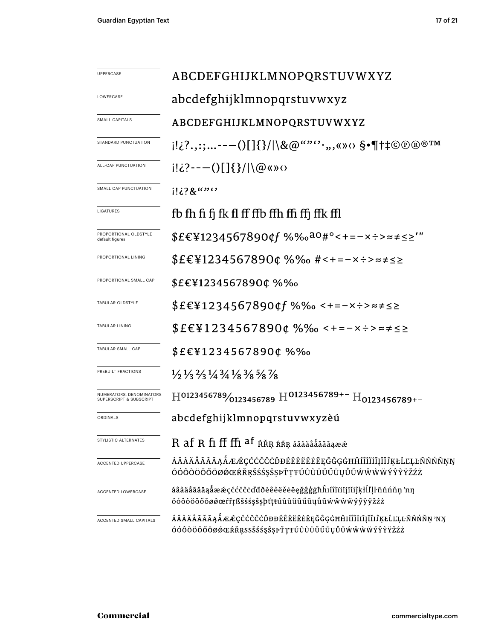| UPPERCASE                                           | ABCDEFGHIJKLMNOPQRSTUVWXYZ                                                                                                    |  |  |  |
|-----------------------------------------------------|-------------------------------------------------------------------------------------------------------------------------------|--|--|--|
| LOWERCASE                                           | abcdefghijklmnopqrstuvwxyz                                                                                                    |  |  |  |
| SMALL CAPITALS                                      | ABCDEFGHIJKLMNOPQRSTUVWXYZ                                                                                                    |  |  |  |
| STANDARD PUNCTUATION                                | i!¿?.,:;--—()[]{}/ \&@""'`·,,«»‹› §•¶†‡©®®™                                                                                   |  |  |  |
| ALL-CAP PUNCTUATION                                 |                                                                                                                               |  |  |  |
| SMALL CAP PUNCTUATION                               | i!¿?&""''                                                                                                                     |  |  |  |
| LIGATURES                                           | fb fh fi fi fk fl ff ffb ffh ffi ffj ffk ffl                                                                                  |  |  |  |
| PROPORTIONAL OLDSTYLE<br>default figures            | $$EEY1234567890$ f %‰ <sup>ao</sup> #°<+=-x÷>≈≠≤≥'"                                                                           |  |  |  |
| PROPORTIONAL LINING                                 | \$£€¥1234567890¢ %‰ #<+=-×÷>≈≠≤≥                                                                                              |  |  |  |
| PROPORTIONAL SMALL CAP                              | \$£€¥1234567890¢ %‰                                                                                                           |  |  |  |
| TABULAR OLDSTYLE                                    | \$£€¥1234567890¢f %‰ <+=−×÷>≈≠≤≥                                                                                              |  |  |  |
| <b>TABULAR LINING</b>                               | $$EEY1234567890¢$ %‰ <+=-x÷>≈≠≤≥                                                                                              |  |  |  |
| TABULAR SMALL CAP                                   | \$£€¥1234567890¢%‰                                                                                                            |  |  |  |
| PREBUILT FRACTIONS                                  | $\frac{1}{2}$ $\frac{1}{3}$ $\frac{2}{3}$ $\frac{1}{4}$ $\frac{3}{4}$ $\frac{1}{8}$ $\frac{3}{8}$ $\frac{5}{8}$ $\frac{7}{8}$ |  |  |  |
| NUMERATORS, DENOMINATORS<br>SUPERSCRIPT & SUBSCRIPT | $\text{H}^{0123456789}/\text{0123456789} \text{H}^{0123456789+-}\text{H}^{0123456789+-}$                                      |  |  |  |
| ORDINALS                                            | abcdefghijklmnopqrstuvwxyzèú                                                                                                  |  |  |  |
| STYLISTIC ALTERNATES                                | R af R fi ff ffi af kŘR kŘR aada a van kontrologie R af R fi ff ffi af kŘR k                                                  |  |  |  |
| <b>ACCENTED UPPERCASE</b>                           | ÁÂÀÄÅÃĂĀĄÅÆÆÇĆĆČĊĎĐÉÊÈËĖĔĘĞĜĢĠĦĤÍÎÌÏİĮĨĬĴĶŁĹĽĻĿÑŃŃŇŅŊ<br>ÓÓÔÒÖŐŐŌØØŒŔŘŖŠŚŚŞŜŖPŤŢŦÚÛÙÜŬŰŨŲŮŨŴŴŴŴŶŶŶŸŽŹŻ                        |  |  |  |
| ACCENTED LOWERCASE                                  | áâàäåãăāąåææçććčĉċďđðéêèëěeęğĝģġħĥıíîìïiiįĩijkłĺľḷŀñńńňn'nŋ<br>óóôòöőőōøøœfřŗßšśśşŝşþťţŧúûùüŭűūųůũẃŵẁẅýŷỳÿžźż                 |  |  |  |
| ACCENTED SMALL CAPITALS                             | ÁÂÀÄÅÃĂĀĄÅÆÆÇĆĆČĊĎĐĐÉÊÈËĖĖĒĘĞĜĢĠĦĤIÍÎÌĬIĪĮĨĬIJŖŁĹĽĻĿÑŃŃŇŅ'NŊ<br>ÓÓÔÒÖŐŐŌØŐŒŔŘŖSSŠŚŚŞŜŖŤŢŦÚÛÙŬŬŰŪŲŮŨŴŴŴŴÝŶŶŸŽŹŻ                |  |  |  |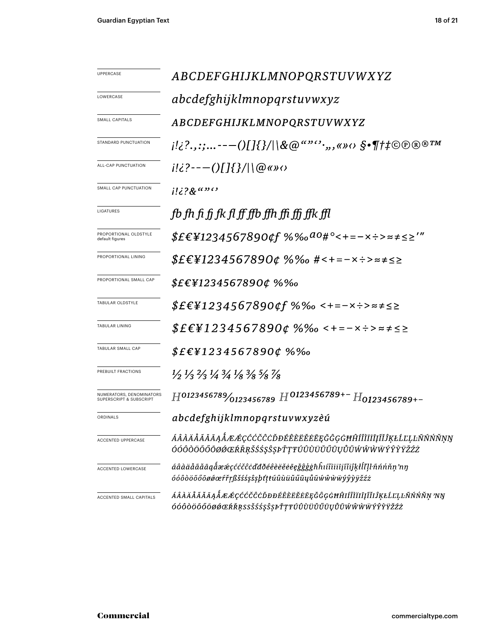| <b>UPPERCASE</b>                                               | ABCDEFGHIJKLMNOPQRSTUVWXYZ                                                                                                    |  |  |
|----------------------------------------------------------------|-------------------------------------------------------------------------------------------------------------------------------|--|--|
| LOWERCASE                                                      | abcdefghijklmnopqrstuvwxyz                                                                                                    |  |  |
| SMALL CAPITALS                                                 | ABCDEFGHIJKLMNOPQRSTUVWXYZ                                                                                                    |  |  |
| STANDARD PUNCTUATION                                           | $[i]\{?$ .,:;---()[]{}/ \&@""'',,,«» $\circ$ > $\S$ •¶†‡©®®®™                                                                 |  |  |
| ALL-CAP PUNCTUATION                                            |                                                                                                                               |  |  |
| SMALL CAP PUNCTUATION                                          | $1!i?8$ ""                                                                                                                    |  |  |
| LIGATURES                                                      | fb fh fi fi fk fl ff ffb ffh ffi ffi ffk ffl                                                                                  |  |  |
| PROPORTIONAL OLDSTYLE<br>default figures                       | $$E\epsilon$ ¥1234567890¢f %‰ <sup>ao</sup> #°<+=-×÷>≈≠≤≥'"                                                                   |  |  |
| PROPORTIONAL LINING                                            | $$E\epsilon$ ¥1234567890¢ %‰ #<+=-×÷>≈≠≤≥                                                                                     |  |  |
| PROPORTIONAL SMALL CAP                                         | $$E\epsilon$ ¥1234567890¢ %‰                                                                                                  |  |  |
| TABULAR OLDSTYLE                                               | $$E\epsilon$ ¥1234567890¢f %‰ <+=-×÷>≈≠≤≥                                                                                     |  |  |
| <b>TABULAR LINING</b>                                          | $$EEY1234567890¢$ %%o < + = - x ÷ > $\approx \neq \leq \geq$                                                                  |  |  |
| TABULAR SMALL CAP                                              | $$E$ £\{1234567890¢%%                                                                                                         |  |  |
| PREBUILT FRACTIONS                                             | $\frac{1}{2}$ $\frac{1}{3}$ $\frac{2}{3}$ $\frac{1}{4}$ $\frac{3}{4}$ $\frac{1}{8}$ $\frac{3}{8}$ $\frac{5}{8}$ $\frac{7}{8}$ |  |  |
| NUMERATORS, DENOMINATORS<br><b>SUPERSCRIPT &amp; SUBSCRIPT</b> | $H^{0123456789}/_{0123456789}$ $H^{0123456789+-}$ $H_{0123456789+-}$                                                          |  |  |
| ORDINALS                                                       | abcdefghijklmnopqrstuvwxyzèú                                                                                                  |  |  |
| ACCENTED UPPERCASE                                             | ÁÂÀÄÅÃĂĀĄÅÆÆÇĆĆČĈÒĐÉÊÈËĔĔĔĘĞĜĢĠĦĤÍÎÌÏĬĪĮĨĬĴĶŁĹĽĻĿÑŃŃŇŅŊ<br>ÓÓÔÒÖŐŐŌØØŒŔŘŖŠŚŚŞŜȘÞŤŢŦÚÛÙŬŬŰŨŲŮŨŴŴŴŴŶŶŶŸŽŹŻ                      |  |  |
| <b>ACCENTED LOWERCASE</b>                                      | áâàäåãăāąåææçććčĉċďđðéêèëĕēeğĝģġħĥıíîìïiijĩiiĵķłĺľḷŀñńńňṇ'nŋ<br>óóôòöõőōøøœŕřŗßšśśşŝşþt'tŧúûùüŭűūųůũŵŵẁẅýŷỳÿžźż               |  |  |
| ACCENTED SMALL CAPITALS                                        | ÁÂÀÄÅÃĂĀĄÅÆÆÇĆĆČĈÒĐĐÉÊÈËËĖĒĘĞĜĢĠĦĤIÍÎÌÏIĮĨĬIĴĶŁĹĽĻĿÑŃŃŇŅ 'NŊ<br>ÓÓÔÒÖŐŐŌØØŒŔŘŖSSŠŚŚŞŜŞÞŤŢŦÚÛÙÜŬŰŨŲŮŨŴŴŴŴÝŶŶŸŽŹŻ               |  |  |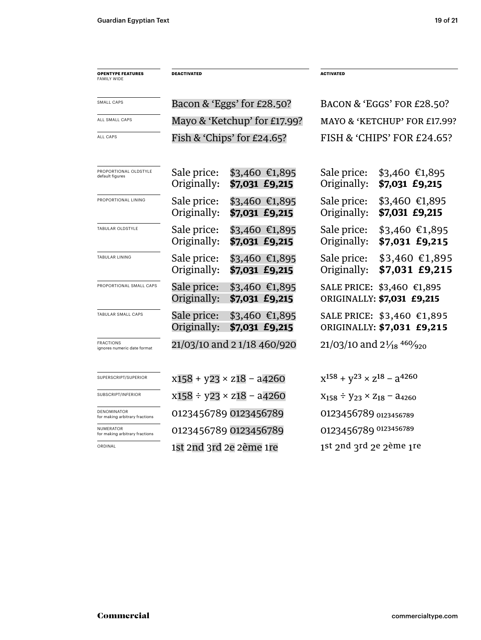| <b>OPENTYPE FEATURES</b><br><b>FAMILY WIDE</b>     | <b>DEACTIVATED</b>                 |                                   | <b>ACTIVATED</b>                            |                                                              |  |
|----------------------------------------------------|------------------------------------|-----------------------------------|---------------------------------------------|--------------------------------------------------------------|--|
| SMALL CAPS                                         | Bacon & 'Eggs' for $E28.50$ ?      |                                   |                                             | BACON & 'EGGS' FOR £28.50?                                   |  |
| ALL SMALL CAPS                                     | Mayo & 'Ketchup' for £17.99?       |                                   |                                             | MAYO & 'KETCHUP' FOR £17.99?                                 |  |
| <b>ALL CAPS</b>                                    | Fish & 'Chips' for $£24.65$ ?      |                                   |                                             | FISH & 'CHIPS' FOR £24.65?                                   |  |
| PROPORTIONAL OLDSTYLE<br>default figures           | Sale price:<br>Originally:         | \$3,460 €1,895<br>\$7,031 £9,215  | Sale price:<br>Originally:                  | $$3,460$ €1,895<br>\$7,031 £9,215                            |  |
| PROPORTIONAL LINING                                | Sale price:<br>Originally:         | \$3,460 €1,895<br>\$7,031 £9,215  | Sale price:<br>Originally:                  | $$3,460$ €1,895<br>\$7,031 £9,215                            |  |
| TABULAR OLDSTYLE                                   | Sale price:<br>Originally:         | $$3,460$ €1,895<br>\$7,031 £9,215 | Sale price:<br>Originally:                  | $$3,460$ €1,895<br>\$7,031 £9,215                            |  |
| <b>TABULAR LINING</b>                              | Sale price:<br>Originally:         | \$3,460 €1,895<br>\$7,031 £9,215  | Sale price:<br>Originally:                  | $$3,460$ €1,895<br>\$7,031 £9,215                            |  |
| PROPORTIONAL SMALL CAPS                            | Sale price:<br>Originally:         | $$3,460$ €1,895<br>\$7,031 £9,215 |                                             | SALE PRICE: \$3,460 €1,895<br>ORIGINALLY: \$7,031 £9,215     |  |
| TABULAR SMALL CAPS                                 | Sale price:<br>Originally:         | $$3,460$ €1,895<br>\$7,031 £9,215 |                                             | SALE PRICE: \$3,460 €1,895<br>ORIGINALLY: \$7,031 £9,215     |  |
| <b>FRACTIONS</b><br>ignores numeric date format    | 21/03/10 and 21/18 460/920         |                                   |                                             | 21/03/10 and $2\frac{1}{18}$ <sup>460</sup> / <sub>920</sub> |  |
| SUPERSCRIPT/SUPERIOR                               | $x158 + y23 \times z18 - a4260$    |                                   | $x^{158} + y^{23} \times z^{18} - a^{4260}$ |                                                              |  |
| SUBSCRIPT/INFERIOR                                 | $x158 \div y23 \times z18 - a4260$ |                                   | $X_{158} \div Y_{23} \times Z_{18} - 34260$ |                                                              |  |
| DENOMINATOR<br>for making arbitrary fractions      | 0123456789 0123456789              |                                   |                                             | 0123456789 0123456789                                        |  |
| <b>NUMERATOR</b><br>for making arbitrary fractions | 0123456789 0123456789              |                                   |                                             | 0123456789 0123456789                                        |  |
| ORDINAL                                            | 1st 2nd 3rd 2e 2ème 1re            |                                   |                                             | 1st 2nd 3rd 2e 2ème 1re                                      |  |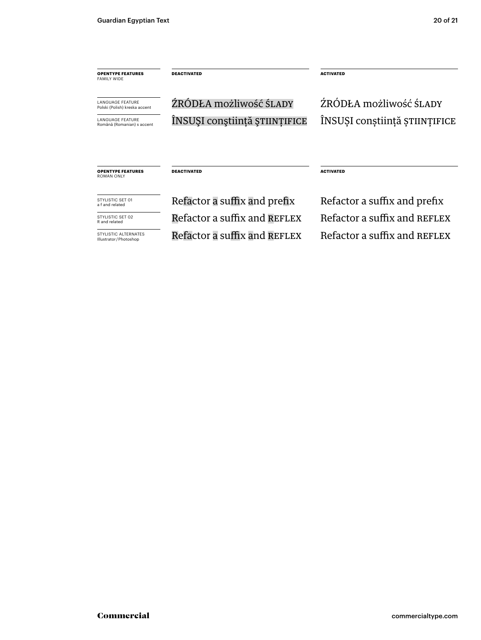| <b>OPENTYPE FEATURES</b><br><b>FAMILY WIDE</b>                                      | <b>DEACTIVATED</b>            | <b>ACTIVATED</b>              |
|-------------------------------------------------------------------------------------|-------------------------------|-------------------------------|
| <b>LANGUAGE FEATURE</b><br>Polski (Polish) kreska accent<br><b>LANGUAGE FEATURE</b> | ŹRÓDŁA możliwość ŚLADY        | ŹRÓDŁA możliwość ŚLADY        |
| Română (Romanian) s accent                                                          | ÎNSUȘI conștiință științifice | INSUȘI conștiință științifice |
| <b>OPENTYPE FEATURES</b><br><b>ROMAN ONLY</b>                                       | <b>DEACTIVATED</b>            | <b>ACTIVATED</b>              |
| STYLISTIC SFT 01<br>a f and related                                                 | Refactor a suffix and prefix  | Refactor a suffix and prefix  |
| STYLISTIC SET 02<br>R and related                                                   | Refactor a suffix and REFLEX  | Refactor a suffix and REFLEX  |
| STYLISTIC ALTERNATES<br>Illustrator / Photoshop                                     | Refactor a suffix and REFLEX  | Refactor a suffix and REFLEX  |